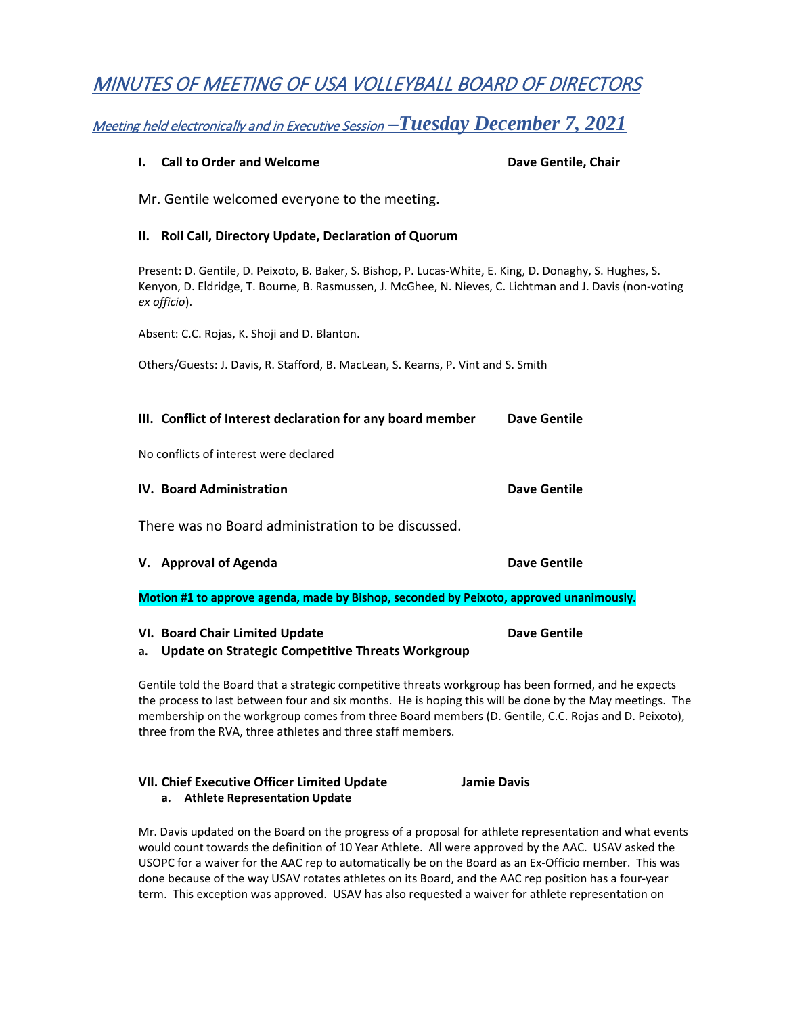# MINUTES OF MEETING OF USA VOLLEYBALL BOARD OF DIRECTORS

## Meeting held electronically and in Executive Session *–Tuesday December 7, 2021*

| <b>Call to Order and Welcome</b><br>I.                                                                                                                                                                                               | Dave Gentile, Chair |
|--------------------------------------------------------------------------------------------------------------------------------------------------------------------------------------------------------------------------------------|---------------------|
| Mr. Gentile welcomed everyone to the meeting.                                                                                                                                                                                        |                     |
| Roll Call, Directory Update, Declaration of Quorum<br>Ш.                                                                                                                                                                             |                     |
| Present: D. Gentile, D. Peixoto, B. Baker, S. Bishop, P. Lucas-White, E. King, D. Donaghy, S. Hughes, S.<br>Kenyon, D. Eldridge, T. Bourne, B. Rasmussen, J. McGhee, N. Nieves, C. Lichtman and J. Davis (non-voting<br>ex officio). |                     |
| Absent: C.C. Rojas, K. Shoji and D. Blanton.                                                                                                                                                                                         |                     |
| Others/Guests: J. Davis, R. Stafford, B. MacLean, S. Kearns, P. Vint and S. Smith                                                                                                                                                    |                     |
|                                                                                                                                                                                                                                      |                     |
| III. Conflict of Interest declaration for any board member                                                                                                                                                                           | <b>Dave Gentile</b> |
| No conflicts of interest were declared                                                                                                                                                                                               |                     |
| <b>IV. Board Administration</b>                                                                                                                                                                                                      | <b>Dave Gentile</b> |
| There was no Board administration to be discussed.                                                                                                                                                                                   |                     |
| V. Approval of Agenda                                                                                                                                                                                                                | Dave Gentile        |
| Motion #1 to approve agenda, made by Bishop, seconded by Peixoto, approved unanimously.                                                                                                                                              |                     |
| VI. Board Chair Limited Update<br><b>Update on Strategic Competitive Threats Workgroup</b><br>a.                                                                                                                                     | <b>Dave Gentile</b> |

Gentile told the Board that a strategic competitive threats workgroup has been formed, and he expects the process to last between four and six months. He is hoping this will be done by the May meetings. The membership on the workgroup comes from three Board members (D. Gentile, C.C. Rojas and D. Peixoto), three from the RVA, three athletes and three staff members.

### **VII. Chief Executive Officer Limited Update Jamie Davis a. Athlete Representation Update**

Mr. Davis updated on the Board on the progress of a proposal for athlete representation and what events would count towards the definition of 10 Year Athlete. All were approved by the AAC. USAV asked the USOPC for a waiver for the AAC rep to automatically be on the Board as an Ex-Officio member. This was done because of the way USAV rotates athletes on its Board, and the AAC rep position has a four-year term. This exception was approved. USAV has also requested a waiver for athlete representation on